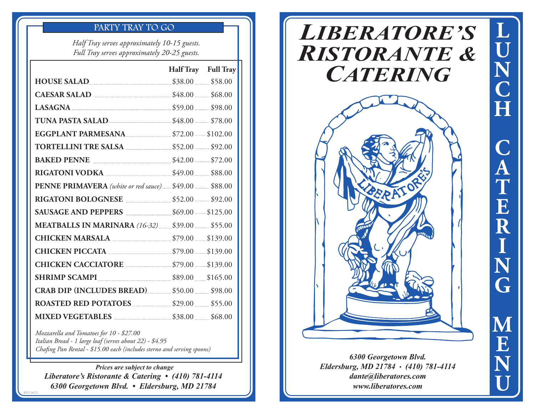## PARTY TRAY TO GO

*Half Tray serves approximately 10-15 guests. Full Tray serves approximately 20-25 guests.*

|                                                      | Half Tray Full Tray |  |
|------------------------------------------------------|---------------------|--|
| HOUSE SALAD<br>\$38.00 \$58.00                       |                     |  |
| CAESAR SALAD 548.00 \$48.00 \$68.00                  |                     |  |
|                                                      |                     |  |
| <b>TUNA PASTA SALAD</b> \$48.00 \$78.00              |                     |  |
| <b>EGGPLANT PARMESANA</b> \$72.00 \$102.00           |                     |  |
| <b>TORTELLINI TRE SALSA</b> 552.00 692.00            |                     |  |
| <b>BAKED PENNE</b> 542.00 \$72.00                    |                     |  |
| <b>RIGATONI VODKA</b> 2000 \$49.00 \$88.00           |                     |  |
|                                                      |                     |  |
| RIGATONI BOLOGNESE 552.00 592.00                     |                     |  |
| SAUSAGE AND PEPPERS 569.00 5125.00                   |                     |  |
| <b>MEATBALLS IN MARINARA</b> (16-32) \$39.00 \$55.00 |                     |  |
| CHICKEN MARSALA 379.00 \$139.00                      |                     |  |
| <b>CHICKEN PICCATA</b> 579.00 5139.00                |                     |  |
| <b>CHICKEN CACCIATORE</b> 579.00 \$139.00            |                     |  |
| <b>SHRIMP SCAMPI</b> 589.00 \$165.00                 |                     |  |
| <b>CRAB DIP (INCLUDES BREAD)</b> \$50.00 \$98.00     |                     |  |
| <b>ROASTED RED POTATOES</b> \$29.00 \$55.00          |                     |  |
| <b>MIXED VEGETABLES</b> 28.00 \$58.00                |                     |  |

*Mozzarella and Tomatoes for 10 - \$27.00 Italian Bread - 1 large loaf (serves about 22) - \$4.95 Chafing Pan Rental - \$15.00 each (includes sterno and serving spoons)*

REV 04/21

*Prices are subject to change Liberatore's Ristorante & Catering • (410) 781-4114 6300 Georgetown Blvd. • Eldersburg, MD 21784*

# *LIBERATORE'S RISTORANTE & CATERING*



*6300 Georgetown Blvd. Eldersburg, MD 21784 • (410) 781-4114 dante@liberatores.com www.liberatores.com*